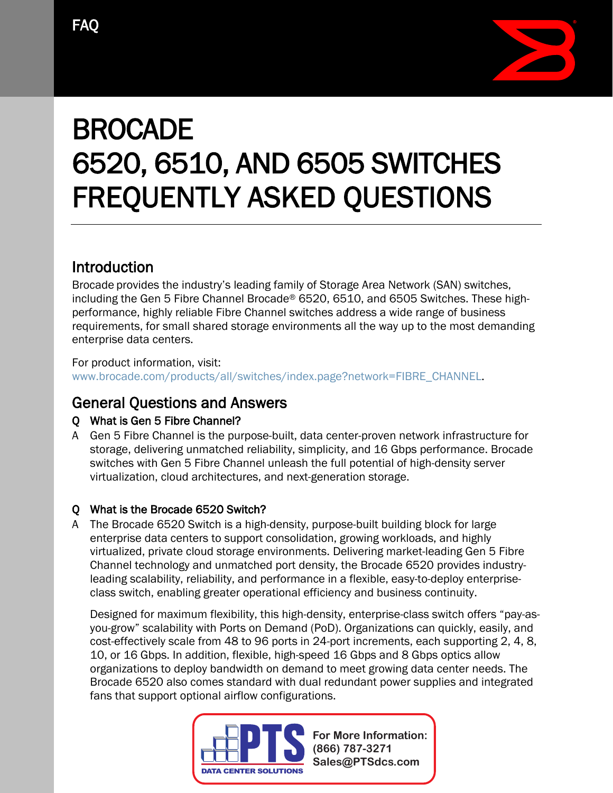

# BROCADE 6520, 6510, AND 6505 SWITCHES FREQUENTLY ASKED QUESTIONS

# Introduction

Brocade provides the industry's leading family of Storage Area Network (SAN) switches, including the Gen 5 Fibre Channel Brocade® 6520, 6510, and 6505 Switches. These highperformance, highly reliable Fibre Channel switches address a wide range of business requirements, for small shared storage environments all the way up to the most demanding enterprise data centers.

For product information, visit: www.brocade.com/products/all/switches/index.page?network=FIBRE\_CHANNEL.

# General Questions and Answers

### Q What is Gen 5 Fibre Channel?

A Gen 5 Fibre Channel is the purpose-built, data center-proven network infrastructure for storage, delivering unmatched reliability, simplicity, and 16 Gbps performance. Brocade switches with Gen 5 Fibre Channel unleash the full potential of high-density server virtualization, cloud architectures, and next-generation storage.

#### Q What is the Brocade 6520 Switch?

A The Brocade 6520 Switch is a high-density, purpose-built building block for large enterprise data centers to support consolidation, growing workloads, and highly virtualized, private cloud storage environments. Delivering market-leading Gen 5 Fibre Channel technology and unmatched port density, the Brocade 6520 provides industryleading scalability, reliability, and performance in a flexible, easy-to-deploy enterpriseclass switch, enabling greater operational efficiency and business continuity.

Designed for maximum flexibility, this high-density, enterprise-class switch offers "pay-asyou-grow" scalability with Ports on Demand (PoD). Organizations can quickly, easily, and cost-effectively scale from 48 to 96 ports in 24-port increments, each supporting 2, 4, 8, 10, or 16 Gbps. In addition, flexible, high-speed 16 Gbps and 8 Gbps optics allow organizations to deploy bandwidth on demand to meet growing data center needs. The Brocade 6520 also comes standard with dual redundant power supplies and integrated fans that support optional airflow configurations.

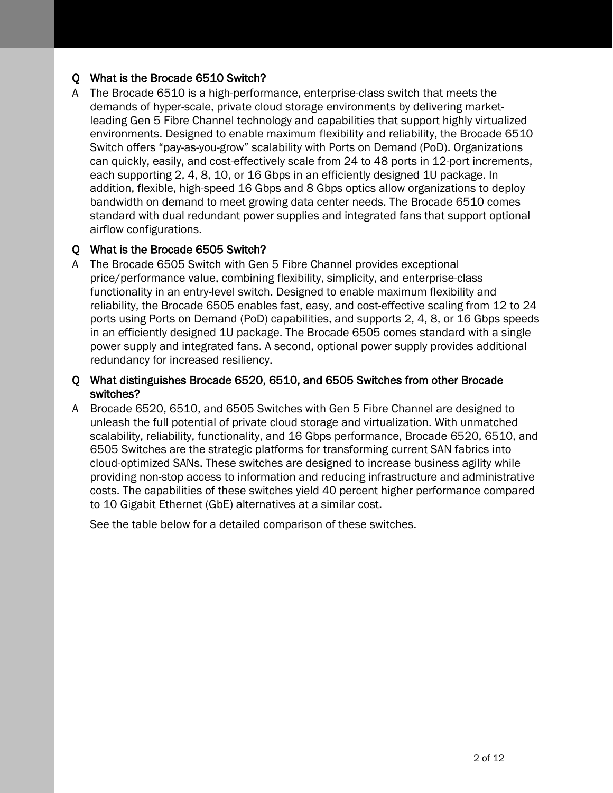#### Q What is the Brocade 6510 Switch?

A The Brocade 6510 is a high-performance, enterprise-class switch that meets the demands of hyper-scale, private cloud storage environments by delivering marketleading Gen 5 Fibre Channel technology and capabilities that support highly virtualized environments. Designed to enable maximum flexibility and reliability, the Brocade 6510 Switch offers "pay-as-you-grow" scalability with Ports on Demand (PoD). Organizations can quickly, easily, and cost-effectively scale from 24 to 48 ports in 12-port increments, each supporting 2, 4, 8, 10, or 16 Gbps in an efficiently designed 1U package. In addition, flexible, high-speed 16 Gbps and 8 Gbps optics allow organizations to deploy bandwidth on demand to meet growing data center needs. The Brocade 6510 comes standard with dual redundant power supplies and integrated fans that support optional airflow configurations.

#### Q What is the Brocade 6505 Switch?

A The Brocade 6505 Switch with Gen 5 Fibre Channel provides exceptional price/performance value, combining flexibility, simplicity, and enterprise-class functionality in an entry-level switch. Designed to enable maximum flexibility and reliability, the Brocade 6505 enables fast, easy, and cost-effective scaling from 12 to 24 ports using Ports on Demand (PoD) capabilities, and supports 2, 4, 8, or 16 Gbps speeds in an efficiently designed 1U package. The Brocade 6505 comes standard with a single power supply and integrated fans. A second, optional power supply provides additional redundancy for increased resiliency.

#### Q What distinguishes Brocade 6520, 6510, and 6505 Switches from other Brocade switches?

A Brocade 6520, 6510, and 6505 Switches with Gen 5 Fibre Channel are designed to unleash the full potential of private cloud storage and virtualization. With unmatched scalability, reliability, functionality, and 16 Gbps performance, Brocade 6520, 6510, and 6505 Switches are the strategic platforms for transforming current SAN fabrics into cloud-optimized SANs. These switches are designed to increase business agility while providing non-stop access to information and reducing infrastructure and administrative costs. The capabilities of these switches yield 40 percent higher performance compared to 10 Gigabit Ethernet (GbE) alternatives at a similar cost.

See the table below for a detailed comparison of these switches.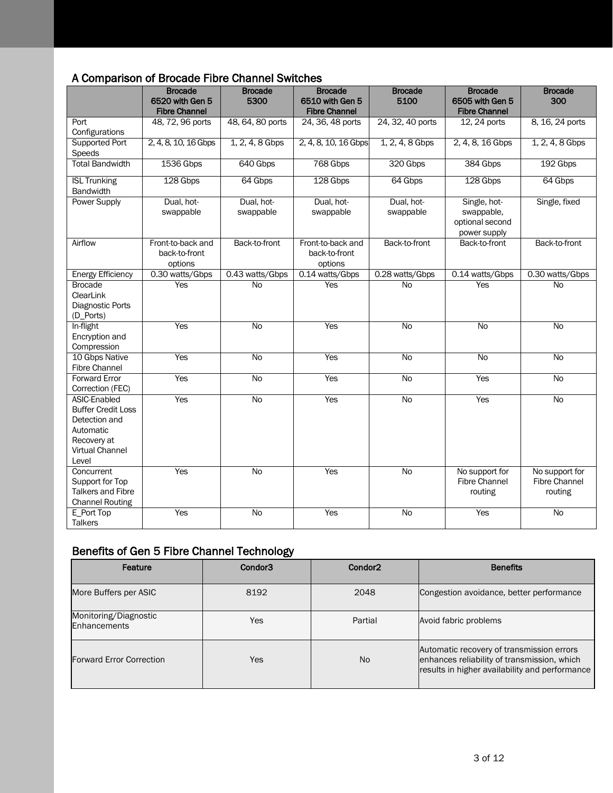### A Comparison of Brocade Fibre Channel Switches

|                                                                                                                           | <b>Brocade</b><br>6520 with Gen 5             | <b>Brocade</b><br>5300  | <b>Brocade</b><br>6510 with Gen 5             | <b>Brocade</b><br>5100  | <b>Brocade</b><br>6505 with Gen 5                             | <b>Brocade</b><br>300                             |
|---------------------------------------------------------------------------------------------------------------------------|-----------------------------------------------|-------------------------|-----------------------------------------------|-------------------------|---------------------------------------------------------------|---------------------------------------------------|
|                                                                                                                           | <b>Fibre Channel</b>                          |                         | <b>Fibre Channel</b>                          |                         | <b>Fibre Channel</b>                                          |                                                   |
| Port<br>Configurations                                                                                                    | 48, 72, 96 ports                              | 48, 64, 80 ports        | 24, 36, 48 ports                              | 24, 32, 40 ports        | 12, 24 ports                                                  | 8, 16, 24 ports                                   |
| <b>Supported Port</b><br>Speeds                                                                                           | 2, 4, 8, 10, 16 Gbps                          | $1, 2, 4, 8$ Gbps       | 2, 4, 8, 10, 16 Gbps                          | $1, 2, 4, 8$ Gbps       | 2, 4, 8, 16 Gbps                                              | $1, 2, 4, 8$ Gbps                                 |
| <b>Total Bandwidth</b>                                                                                                    | 1536 Gbps                                     | 640 Gbps                | 768 Gbps                                      | 320 Gbps                | 384 Gbps                                                      | 192 Gbps                                          |
| <b>ISL Trunking</b><br>Bandwidth                                                                                          | 128 Gbps                                      | 64 Gbps                 | 128 Gbps                                      | 64 Gbps                 | 128 Gbps                                                      | 64 Gbps                                           |
| <b>Power Supply</b>                                                                                                       | Dual, hot-<br>swappable                       | Dual, hot-<br>swappable | Dual, hot-<br>swappable                       | Dual, hot-<br>swappable | Single, hot-<br>swappable,<br>optional second<br>power supply | Single, fixed                                     |
| Airflow                                                                                                                   | Front-to-back and<br>back-to-front<br>options | Back-to-front           | Front-to-back and<br>back-to-front<br>options | Back-to-front           | Back-to-front                                                 | Back-to-front                                     |
| <b>Energy Efficiency</b>                                                                                                  | 0.30 watts/Gbps                               | 0.43 watts/Gbps         | 0.14 watts/Gbps                               | 0.28 watts/Gbps         | 0.14 watts/Gbps                                               | 0.30 watts/Gbps                                   |
| <b>Brocade</b><br>ClearLink<br>Diagnostic Ports<br>(D_Ports)                                                              | Yes                                           | <b>No</b>               | <b>Yes</b>                                    | <b>No</b>               | Yes                                                           | <b>No</b>                                         |
| In-flight<br>Encryption and<br>Compression                                                                                | Yes                                           | $\overline{N}$          | Yes                                           | $\overline{N}$          | $\overline{N}$                                                | $\overline{N}$                                    |
| 10 Gbps Native<br><b>Fibre Channel</b>                                                                                    | Yes                                           | <b>No</b>               | <b>Yes</b>                                    | <b>No</b>               | <b>No</b>                                                     | <b>No</b>                                         |
| <b>Forward Error</b><br>Correction (FEC)                                                                                  | Yes                                           | $\overline{N}$          | Yes                                           | N <sub>o</sub>          | Yes                                                           | $\overline{N}$                                    |
| ASIC-Enabled<br><b>Buffer Credit Loss</b><br>Detection and<br>Automatic<br>Recovery at<br><b>Virtual Channel</b><br>Level | Yes                                           | <b>No</b>               | Yes                                           | No                      | Yes                                                           | <b>No</b>                                         |
| Concurrent<br>Support for Top<br>Talkers and Fibre<br><b>Channel Routing</b>                                              | Yes                                           | $\overline{N}$          | <b>Yes</b>                                    | $\overline{N}$          | No support for<br><b>Fibre Channel</b><br>routing             | No support for<br><b>Fibre Channel</b><br>routing |
| E_Port Top<br><b>Talkers</b>                                                                                              | Yes                                           | $\overline{N}$          | Yes                                           | N <sub>o</sub>          | Yes                                                           | <b>No</b>                                         |

#### Benefits of Gen 5 Fibre Channel Technology

| Feature                               | Condor <sub>3</sub> | Condor <sub>2</sub> | <b>Benefits</b>                                                                                                                            |
|---------------------------------------|---------------------|---------------------|--------------------------------------------------------------------------------------------------------------------------------------------|
| More Buffers per ASIC                 | 8192                | 2048                | Congestion avoidance, better performance                                                                                                   |
| Monitoring/Diagnostic<br>Enhancements | Yes                 | Partial             | Avoid fabric problems                                                                                                                      |
| <b>Forward Error Correction</b>       | Yes                 | N <sub>o</sub>      | Automatic recovery of transmission errors<br>enhances reliability of transmission, which<br>results in higher availability and performance |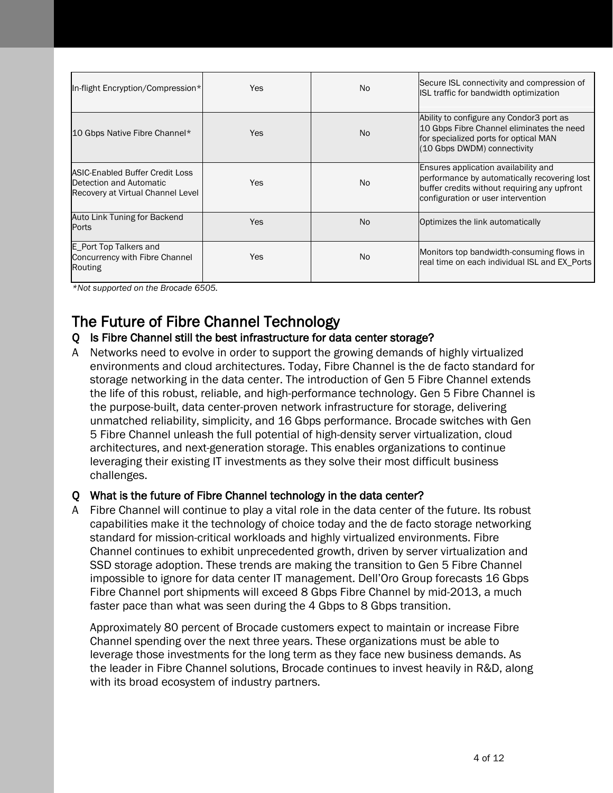| In-flight Encryption/Compression*                                                                      | Yes        | No. | Secure ISL connectivity and compression of<br>ISL traffic for bandwidth optimization                                                                                       |
|--------------------------------------------------------------------------------------------------------|------------|-----|----------------------------------------------------------------------------------------------------------------------------------------------------------------------------|
| 10 Gbps Native Fibre Channel*                                                                          | Yes        | No. | Ability to configure any Condor3 port as<br>10 Gbps Fibre Channel eliminates the need<br>for specialized ports for optical MAN<br>(10 Gbps DWDM) connectivity              |
| <b>ASIC-Enabled Buffer Credit Loss</b><br>Detection and Automatic<br>Recovery at Virtual Channel Level | <b>Yes</b> | No. | Ensures application availability and<br>performance by automatically recovering lost<br>buffer credits without requiring any upfront<br>configuration or user intervention |
| Auto Link Tuning for Backend<br>Ports                                                                  | <b>Yes</b> | No. | Optimizes the link automatically                                                                                                                                           |
| E_Port Top Talkers and<br><b>Concurrency with Fibre Channel</b><br>Routing                             | <b>Yes</b> | No. | Monitors top bandwidth-consuming flows in<br>real time on each individual ISL and EX_Ports                                                                                 |

*\*Not supported on the Brocade 6505.*

# The Future of Fibre Channel Technology<br>Q Is Fibre Channel still the best infrastructure for data center storage?

A Networks need to evolve in order to support the growing demands of highly virtualized environments and cloud architectures. Today, Fibre Channel is the de facto standard for storage networking in the data center. The introduction of Gen 5 Fibre Channel extends the life of this robust, reliable, and high-performance technology. Gen 5 Fibre Channel is the purpose-built, data center-proven network infrastructure for storage, delivering unmatched reliability, simplicity, and 16 Gbps performance. Brocade switches with Gen 5 Fibre Channel unleash the full potential of high-density server virtualization, cloud architectures, and next-generation storage. This enables organizations to continue leveraging their existing IT investments as they solve their most difficult business challenges.

#### Q What is the future of Fibre Channel technology in the data center?

A Fibre Channel will continue to play a vital role in the data center of the future. Its robust capabilities make it the technology of choice today and the de facto storage networking standard for mission-critical workloads and highly virtualized environments. Fibre Channel continues to exhibit unprecedented growth, driven by server virtualization and SSD storage adoption. These trends are making the transition to Gen 5 Fibre Channel impossible to ignore for data center IT management. Dell'Oro Group forecasts 16 Gbps Fibre Channel port shipments will exceed 8 Gbps Fibre Channel by mid-2013, a much faster pace than what was seen during the 4 Gbps to 8 Gbps transition.

Approximately 80 percent of Brocade customers expect to maintain or increase Fibre Channel spending over the next three years. These organizations must be able to leverage those investments for the long term as they face new business demands. As the leader in Fibre Channel solutions, Brocade continues to invest heavily in R&D, along with its broad ecosystem of industry partners.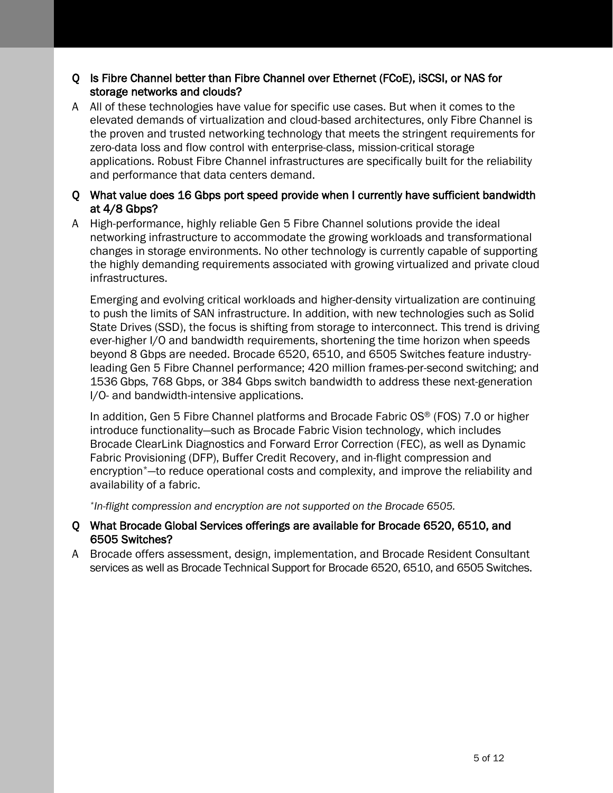#### Q Is Fibre Channel better than Fibre Channel over Ethernet (FCoE), iSCSI, or NAS for storage networks and clouds?

A All of these technologies have value for specific use cases. But when it comes to the elevated demands of virtualization and cloud-based architectures, only Fibre Channel is the proven and trusted networking technology that meets the stringent requirements for zero-data loss and flow control with enterprise-class, mission-critical storage applications. Robust Fibre Channel infrastructures are specifically built for the reliability and performance that data centers demand.

#### Q What value does 16 Gbps port speed provide when I currently have sufficient bandwidth at 4/8 Gbps?

A High-performance, highly reliable Gen 5 Fibre Channel solutions provide the ideal networking infrastructure to accommodate the growing workloads and transformational changes in storage environments. No other technology is currently capable of supporting the highly demanding requirements associated with growing virtualized and private cloud infrastructures.

Emerging and evolving critical workloads and higher-density virtualization are continuing to push the limits of SAN infrastructure. In addition, with new technologies such as Solid State Drives (SSD), the focus is shifting from storage to interconnect. This trend is driving ever-higher I/O and bandwidth requirements, shortening the time horizon when speeds beyond 8 Gbps are needed. Brocade 6520, 6510, and 6505 Switches feature industryleading Gen 5 Fibre Channel performance; 420 million frames-per-second switching; and 1536 Gbps, 768 Gbps, or 384 Gbps switch bandwidth to address these next-generation I/O- and bandwidth-intensive applications.

In addition, Gen 5 Fibre Channel platforms and Brocade Fabric  $OS^{\circ}$  (FOS) 7.0 or higher introduce functionality—such as Brocade Fabric Vision technology, which includes Brocade ClearLink Diagnostics and Forward Error Correction (FEC), as well as Dynamic Fabric Provisioning (DFP), Buffer Credit Recovery, and in-flight compression and encryption\*—to reduce operational costs and complexity, and improve the reliability and availability of a fabric.

*\*In-flight compression and encryption are not supported on the Brocade 6505.*

- Q What Brocade Global Services offerings are available for Brocade 6520, 6510, and 6505 Switches?
- A Brocade offers assessment, design, implementation, and Brocade Resident Consultant services as well as Brocade Technical Support for Brocade 6520, 6510, and 6505 Switches.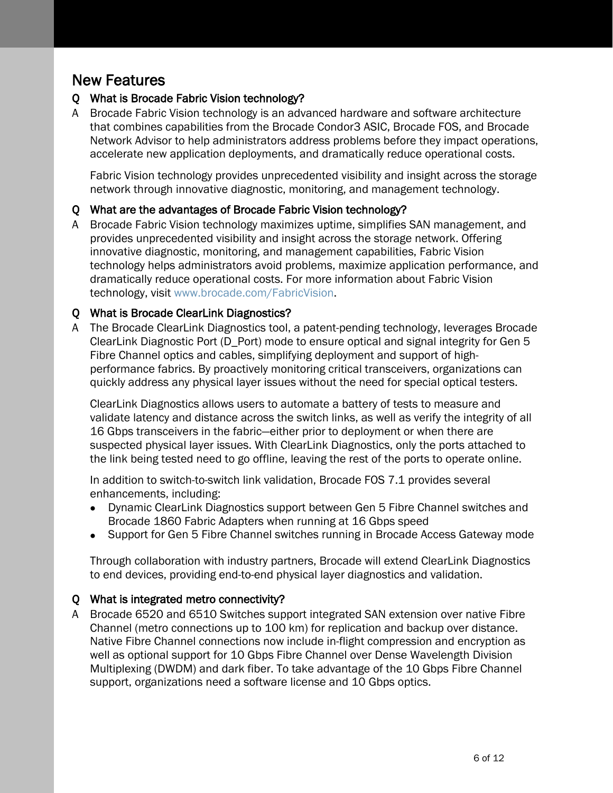# New Features

#### Q What is Brocade Fabric Vision technology?

A Brocade Fabric Vision technology is an advanced hardware and software architecture that combines capabilities from the Brocade Condor3 ASIC, Brocade FOS, and Brocade Network Advisor to help administrators address problems before they impact operations, accelerate new application deployments, and dramatically reduce operational costs.

Fabric Vision technology provides unprecedented visibility and insight across the storage network through innovative diagnostic, monitoring, and management technology.

#### Q What are the advantages of Brocade Fabric Vision technology?

A Brocade Fabric Vision technology maximizes uptime, simplifies SAN management, and provides unprecedented visibility and insight across the storage network. Offering innovative diagnostic, monitoring, and management capabilities, Fabric Vision technology helps administrators avoid problems, maximize application performance, and dramatically reduce operational costs. For more information about Fabric Vision technology, visit www.brocade.com/FabricVision.

#### Q What is Brocade ClearLink Diagnostics?

A The Brocade ClearLink Diagnostics tool, a patent-pending technology, leverages Brocade ClearLink Diagnostic Port (D\_Port) mode to ensure optical and signal integrity for Gen 5 Fibre Channel optics and cables, simplifying deployment and support of highperformance fabrics. By proactively monitoring critical transceivers, organizations can quickly address any physical layer issues without the need for special optical testers.

ClearLink Diagnostics allows users to automate a battery of tests to measure and validate latency and distance across the switch links, as well as verify the integrity of all 16 Gbps transceivers in the fabric—either prior to deployment or when there are suspected physical layer issues. With ClearLink Diagnostics, only the ports attached to the link being tested need to go offline, leaving the rest of the ports to operate online.

In addition to switch-to-switch link validation, Brocade FOS 7.1 provides several enhancements, including:

- Dynamic ClearLink Diagnostics support between Gen 5 Fibre Channel switches and Brocade 1860 Fabric Adapters when running at 16 Gbps speed
- Support for Gen 5 Fibre Channel switches running in Brocade Access Gateway mode

Through collaboration with industry partners, Brocade will extend ClearLink Diagnostics to end devices, providing end-to-end physical layer diagnostics and validation.

#### Q What is integrated metro connectivity?

A Brocade 6520 and 6510 Switches support integrated SAN extension over native Fibre Channel (metro connections up to 100 km) for replication and backup over distance. Native Fibre Channel connections now include in-flight compression and encryption as well as optional support for 10 Gbps Fibre Channel over Dense Wavelength Division Multiplexing (DWDM) and dark fiber. To take advantage of the 10 Gbps Fibre Channel support, organizations need a software license and 10 Gbps optics.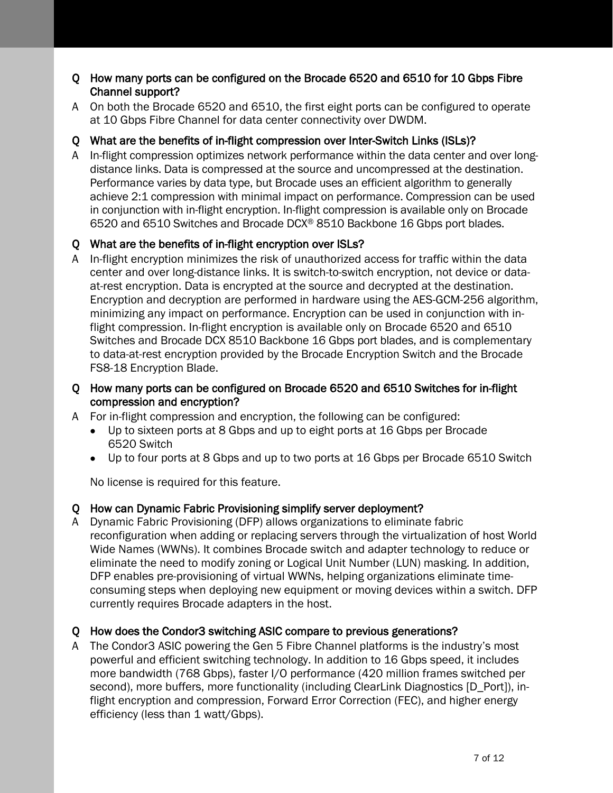#### Q How many ports can be configured on the Brocade 6520 and 6510 for 10 Gbps Fibre Channel support?

A On both the Brocade 6520 and 6510, the first eight ports can be configured to operate at 10 Gbps Fibre Channel for data center connectivity over DWDM.

#### Q What are the benefits of in-flight compression over Inter-Switch Links (ISLs)?

A In-flight compression optimizes network performance within the data center and over longdistance links. Data is compressed at the source and uncompressed at the destination. Performance varies by data type, but Brocade uses an efficient algorithm to generally achieve 2:1 compression with minimal impact on performance. Compression can be used in conjunction with in-flight encryption. In-flight compression is available only on Brocade 6520 and 6510 Switches and Brocade DCX® 8510 Backbone 16 Gbps port blades.

#### Q What are the benefits of in-flight encryption over ISLs?

- A In-flight encryption minimizes the risk of unauthorized access for traffic within the data center and over long-distance links. It is switch-to-switch encryption, not device or dataat-rest encryption. Data is encrypted at the source and decrypted at the destination. Encryption and decryption are performed in hardware using the AES-GCM-256 algorithm, minimizing any impact on performance. Encryption can be used in conjunction with inflight compression. In-flight encryption is available only on Brocade 6520 and 6510 Switches and Brocade DCX 8510 Backbone 16 Gbps port blades, and is complementary to data-at-rest encryption provided by the Brocade Encryption Switch and the Brocade FS8-18 Encryption Blade.
- Q How many ports can be configured on Brocade 6520 and 6510 Switches for in-flight compression and encryption?
- A For in-flight compression and encryption, the following can be configured:
	- Up to sixteen ports at 8 Gbps and up to eight ports at 16 Gbps per Brocade 6520 Switch
	- Up to four ports at 8 Gbps and up to two ports at 16 Gbps per Brocade 6510 Switch

No license is required for this feature.

#### Q How can Dynamic Fabric Provisioning simplify server deployment?

A Dynamic Fabric Provisioning (DFP) allows organizations to eliminate fabric reconfiguration when adding or replacing servers through the virtualization of host World Wide Names (WWNs). It combines Brocade switch and adapter technology to reduce or eliminate the need to modify zoning or Logical Unit Number (LUN) masking. In addition, DFP enables pre-provisioning of virtual WWNs, helping organizations eliminate timeconsuming steps when deploying new equipment or moving devices within a switch. DFP currently requires Brocade adapters in the host.

#### Q How does the Condor3 switching ASIC compare to previous generations?

A The Condor3 ASIC powering the Gen 5 Fibre Channel platforms is the industry's most powerful and efficient switching technology. In addition to 16 Gbps speed, it includes more bandwidth (768 Gbps), faster I/O performance (420 million frames switched per second), more buffers, more functionality (including ClearLink Diagnostics [D\_Port]), inflight encryption and compression, Forward Error Correction (FEC), and higher energy efficiency (less than 1 watt/Gbps).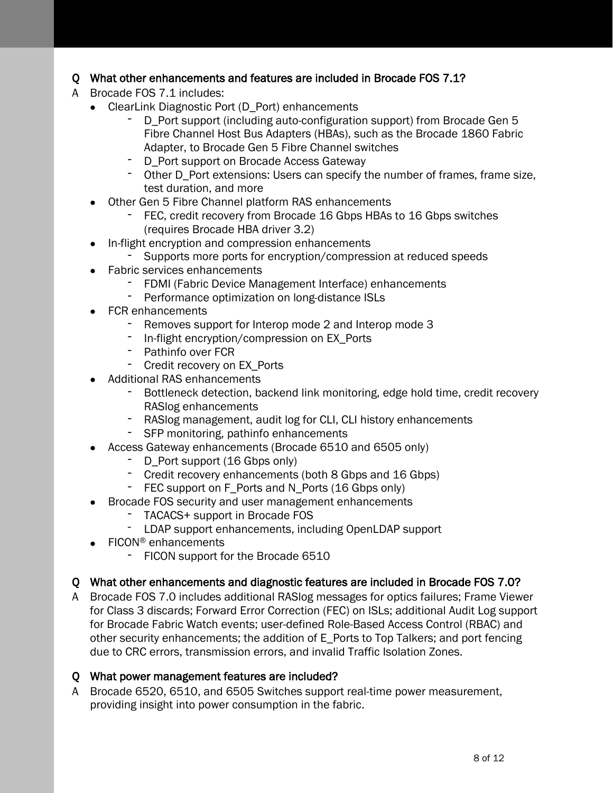#### Q What other enhancements and features are included in Brocade FOS 7.1?

- A Brocade FOS 7.1 includes:
	- ClearLink Diagnostic Port (D Port) enhancements
		- D\_Port support (including auto-configuration support) from Brocade Gen 5 Fibre Channel Host Bus Adapters (HBAs), such as the Brocade 1860 Fabric Adapter, to Brocade Gen 5 Fibre Channel switches
		- D\_Port support on Brocade Access Gateway
		- Other D\_Port extensions: Users can specify the number of frames, frame size, test duration, and more
	- Other Gen 5 Fibre Channel platform RAS enhancements
		- FEC, credit recovery from Brocade 16 Gbps HBAs to 16 Gbps switches (requires Brocade HBA driver 3.2)
	- In-flight encryption and compression enhancements
		- Supports more ports for encryption/compression at reduced speeds
	- Fabric services enhancements
		- FDMI (Fabric Device Management Interface) enhancements
		- Performance optimization on long-distance ISLs
	- FCR enhancements
		- Removes support for Interop mode 2 and Interop mode 3
		- In-flight encryption/compression on EX\_Ports
		- Pathinfo over FCR
		- Credit recovery on EX\_Ports
	- Additional RAS enhancements
		- Bottleneck detection, backend link monitoring, edge hold time, credit recovery RASlog enhancements
		- RASlog management, audit log for CLI, CLI history enhancements
		- SFP monitoring, pathinfo enhancements
	- Access Gateway enhancements (Brocade 6510 and 6505 only)
		- D Port support (16 Gbps only)
		- Credit recovery enhancements (both 8 Gbps and 16 Gbps)
		- FEC support on F\_Ports and N\_Ports (16 Gbps only)
	- Brocade FOS security and user management enhancements
		- TACACS+ support in Brocade FOS
		- LDAP support enhancements, including OpenLDAP support
	- FICON<sup>®</sup> enhancements
		- FICON support for the Brocade 6510

#### Q What other enhancements and diagnostic features are included in Brocade FOS 7.0?

A Brocade FOS 7.0 includes additional RASlog messages for optics failures; Frame Viewer for Class 3 discards; Forward Error Correction (FEC) on ISLs; additional Audit Log support for Brocade Fabric Watch events; user-defined Role-Based Access Control (RBAC) and other security enhancements; the addition of E\_Ports to Top Talkers; and port fencing due to CRC errors, transmission errors, and invalid Traffic Isolation Zones.

#### Q What power management features are included?

A Brocade 6520, 6510, and 6505 Switches support real-time power measurement, providing insight into power consumption in the fabric.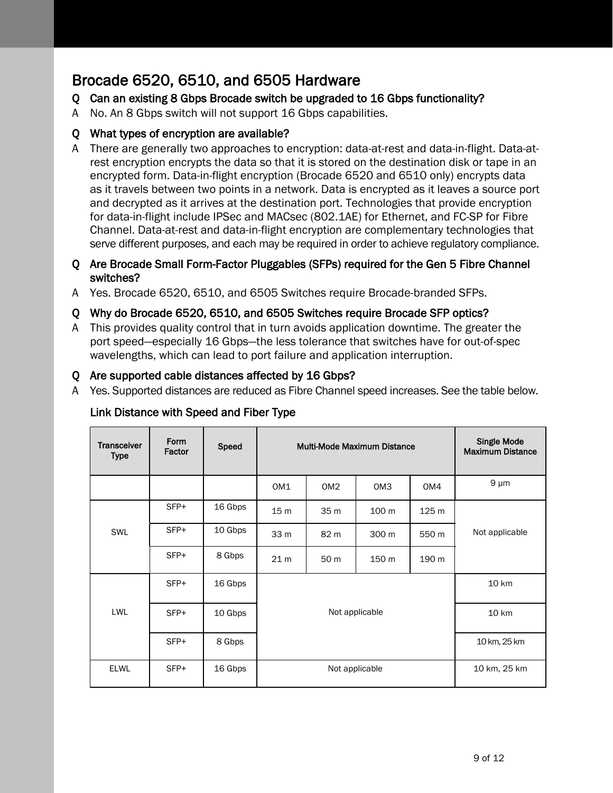# Brocade 6520, 6510, and 6505 Hardware

#### Q Can an existing 8 Gbps Brocade switch be upgraded to 16 Gbps functionality?

A No. An 8 Gbps switch will not support 16 Gbps capabilities.

#### Q What types of encryption are available?

A There are generally two approaches to encryption: data-at-rest and data-in-flight. Data-atrest encryption encrypts the data so that it is stored on the destination disk or tape in an encrypted form. Data-in-flight encryption (Brocade 6520 and 6510 only) encrypts data as it travels between two points in a network. Data is encrypted as it leaves a source port and decrypted as it arrives at the destination port. Technologies that provide encryption for data-in-flight include IPSec and MACsec (802.1AE) for Ethernet, and FC-SP for Fibre Channel. Data-at-rest and data-in-flight encryption are complementary technologies that serve different purposes, and each may be required in order to achieve regulatory compliance.

#### Q Are Brocade Small Form-Factor Pluggables (SFPs) required for the Gen 5 Fibre Channel switches?

A Yes. Brocade 6520, 6510, and 6505 Switches require Brocade-branded SFPs.

#### Q Why do Brocade 6520, 6510, and 6505 Switches require Brocade SFP optics?

A This provides quality control that in turn avoids application downtime. The greater the port speed—especially 16 Gbps—the less tolerance that switches have for out-of-spec wavelengths, which can lead to port failure and application interruption.

#### Q Are supported cable distances affected by 16 Gbps?

A Yes. Supported distances are reduced as Fibre Channel speed increases. See the table below.

| <b>Transceiver</b><br>Type | Form<br>Factor | <b>Speed</b> | <b>Multi-Mode Maximum Distance</b> |                 |                 |       | <b>Single Mode</b><br><b>Maximum Distance</b> |
|----------------------------|----------------|--------------|------------------------------------|-----------------|-----------------|-------|-----------------------------------------------|
|                            |                |              | OM1                                | OM <sub>2</sub> | OM <sub>3</sub> | OM4   | $9 \mu m$                                     |
| SWL                        | SFP+           | 16 Gbps      | 15 <sub>m</sub>                    | 35 <sub>m</sub> | 100 m           | 125 m |                                               |
|                            | SFP+           | 10 Gbps      | 33 m                               | 82 m            | 300 m           | 550 m | Not applicable                                |
|                            | SFP+           | 8 Gbps       | 21 <sub>m</sub>                    | 50 m            | 150 m           | 190 m |                                               |
| <b>LWL</b>                 | SFP+           | 16 Gbps      |                                    |                 |                 |       | <b>10 km</b>                                  |
|                            | SFP+           | 10 Gbps      | Not applicable                     |                 |                 |       | 10 km                                         |
|                            | SFP+           | 8 Gbps       |                                    |                 |                 |       | 10 km, 25 km                                  |
| <b>ELWL</b>                | SFP+           | 16 Gbps      | Not applicable                     |                 |                 |       | 10 km, 25 km                                  |

#### Link Distance with Speed and Fiber Type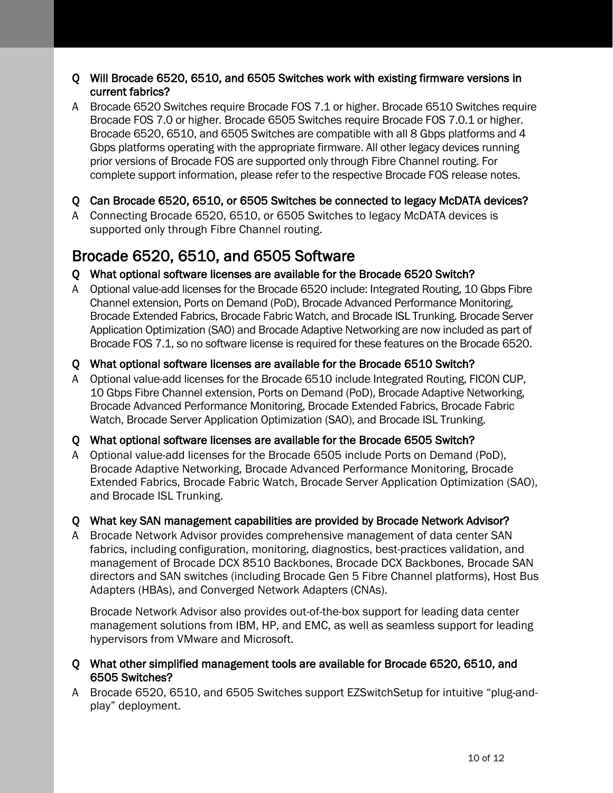#### Q Will Brocade 6520, 6510, and 6505 Switches work with existing firmware versions in current fabrics?

A Brocade 6520 Switches require Brocade FOS 7.1 or higher. Brocade 6510 Switches require Brocade FOS 7.0 or higher. Brocade 6505 Switches require Brocade FOS 7.0.1 or higher. Brocade 6520, 6510, and 6505 Switches are compatible with all 8 Gbps platforms and 4 Gbps platforms operating with the appropriate firmware. All other legacy devices running prior versions of Brocade FOS are supported only through Fibre Channel routing. For complete support information, please refer to the respective Brocade FOS release notes.

#### Q Can Brocade 6520, 6510, or 6505 Switches be connected to legacy McDATA devices?

A Connecting Brocade 6520, 6510, or 6505 Switches to legacy McDATA devices is supported only through Fibre Channel routing.

# Brocade 6520, 6510, and 6505 Software

#### Q What optional software licenses are available for the Brocade 6520 Switch?

A Optional value-add licenses for the Brocade 6520 include: Integrated Routing, 10 Gbps Fibre Channel extension, Ports on Demand (PoD), Brocade Advanced Performance Monitoring, Brocade Extended Fabrics, Brocade Fabric Watch, and Brocade ISL Trunking. Brocade Server Application Optimization (SAO) and Brocade Adaptive Networking are now included as part of Brocade FOS 7.1, so no software license is required for these features on the Brocade 6520.

#### Q What optional software licenses are available for the Brocade 6510 Switch?

A Optional value-add licenses for the Brocade 6510 include Integrated Routing, FICON CUP, 10 Gbps Fibre Channel extension, Ports on Demand (PoD), Brocade Adaptive Networking, Brocade Advanced Performance Monitoring, Brocade Extended Fabrics, Brocade Fabric Watch, Brocade Server Application Optimization (SAO), and Brocade ISL Trunking.

#### Q What optional software licenses are available for the Brocade 6505 Switch?

A Optional value-add licenses for the Brocade 6505 include Ports on Demand (PoD), Brocade Adaptive Networking, Brocade Advanced Performance Monitoring, Brocade Extended Fabrics, Brocade Fabric Watch, Brocade Server Application Optimization (SAO), and Brocade ISL Trunking.

#### Q What key SAN management capabilities are provided by Brocade Network Advisor?

A Brocade Network Advisor provides comprehensive management of data center SAN fabrics, including configuration, monitoring, diagnostics, best-practices validation, and management of Brocade DCX 8510 Backbones, Brocade DCX Backbones, Brocade SAN directors and SAN switches (including Brocade Gen 5 Fibre Channel platforms), Host Bus Adapters (HBAs), and Converged Network Adapters (CNAs).

Brocade Network Advisor also provides out-of-the-box support for leading data center management solutions from IBM, HP, and EMC, as well as seamless support for leading hypervisors from VMware and Microsoft.

#### Q What other simplified management tools are available for Brocade 6520, 6510, and 6505 Switches?

A Brocade 6520, 6510, and 6505 Switches support EZSwitchSetup for intuitive "plug-andplay" deployment.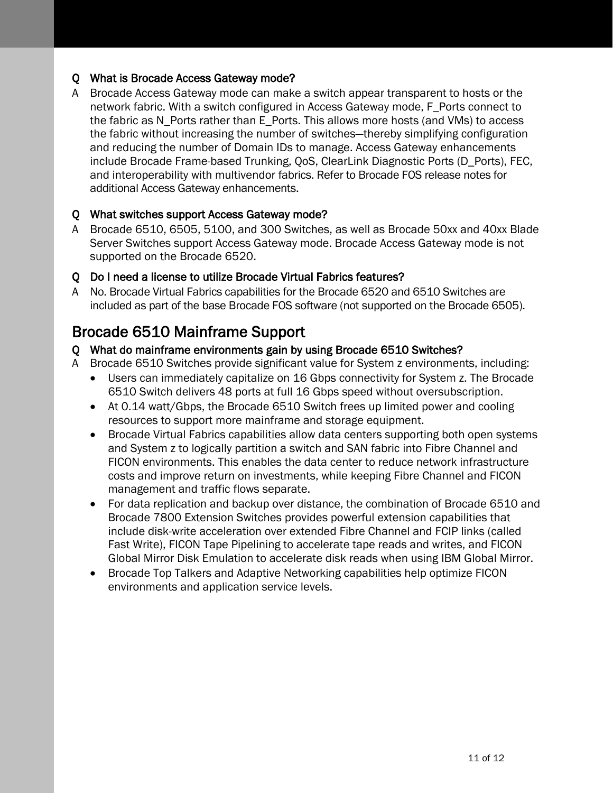#### Q What is Brocade Access Gateway mode?

A Brocade Access Gateway mode can make a switch appear transparent to hosts or the network fabric. With a switch configured in Access Gateway mode, F\_Ports connect to the fabric as N\_Ports rather than E\_Ports. This allows more hosts (and VMs) to access the fabric without increasing the number of switches—thereby simplifying configuration and reducing the number of Domain IDs to manage. Access Gateway enhancements include Brocade Frame-based Trunking, QoS, ClearLink Diagnostic Ports (D\_Ports), FEC, and interoperability with multivendor fabrics. Refer to Brocade FOS release notes for additional Access Gateway enhancements.

#### Q What switches support Access Gateway mode?

A Brocade 6510, 6505, 5100, and 300 Switches, as well as Brocade 50xx and 40xx Blade Server Switches support Access Gateway mode. Brocade Access Gateway mode is not supported on the Brocade 6520.

#### Q Do I need a license to utilize Brocade Virtual Fabrics features?

A No. Brocade Virtual Fabrics capabilities for the Brocade 6520 and 6510 Switches are included as part of the base Brocade FOS software (not supported on the Brocade 6505).

# Brocade 6510 Mainframe Support

#### Q What do mainframe environments gain by using Brocade 6510 Switches?

- A Brocade 6510 Switches provide significant value for System z environments, including:
	- Users can immediately capitalize on 16 Gbps connectivity for System z. The Brocade 6510 Switch delivers 48 ports at full 16 Gbps speed without oversubscription.
	- At 0.14 watt/Gbps, the Brocade 6510 Switch frees up limited power and cooling resources to support more mainframe and storage equipment.
	- Brocade Virtual Fabrics capabilities allow data centers supporting both open systems and System z to logically partition a switch and SAN fabric into Fibre Channel and FICON environments. This enables the data center to reduce network infrastructure costs and improve return on investments, while keeping Fibre Channel and FICON management and traffic flows separate.
	- For data replication and backup over distance, the combination of Brocade 6510 and Brocade 7800 Extension Switches provides powerful extension capabilities that include disk-write acceleration over extended Fibre Channel and FCIP links (called Fast Write), FICON Tape Pipelining to accelerate tape reads and writes, and FICON Global Mirror Disk Emulation to accelerate disk reads when using IBM Global Mirror.
	- Brocade Top Talkers and Adaptive Networking capabilities help optimize FICON environments and application service levels.